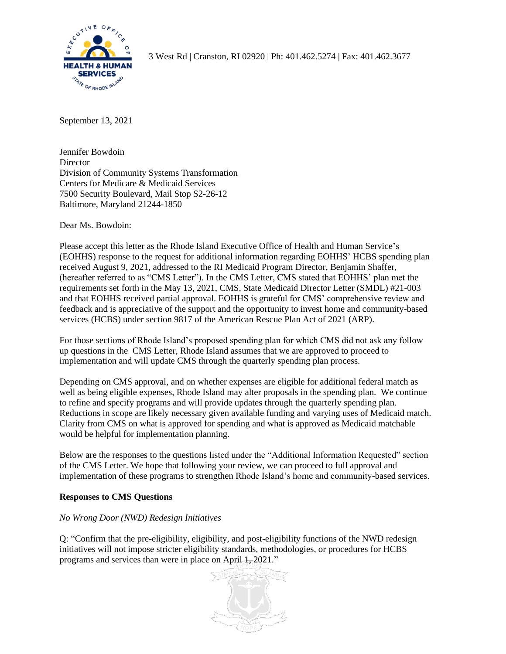

3 West Rd | Cranston, RI 02920 | Ph: 401.462.5274 | Fax: 401.462.3677

September 13, 2021

Jennifer Bowdoin **Director** Division of Community Systems Transformation Centers for Medicare & Medicaid Services 7500 Security Boulevard, Mail Stop S2-26-12 Baltimore, Maryland 21244-1850

Dear Ms. Bowdoin:

Please accept this letter as the Rhode Island Executive Office of Health and Human Service's (EOHHS) response to the request for additional information regarding EOHHS' HCBS spending plan received August 9, 2021, addressed to the RI Medicaid Program Director, Benjamin Shaffer, (hereafter referred to as "CMS Letter"). In the CMS Letter, CMS stated that EOHHS' plan met the requirements set forth in the May 13, 2021, CMS, State Medicaid Director Letter (SMDL) #21-003 and that EOHHS received partial approval. EOHHS is grateful for CMS' comprehensive review and feedback and is appreciative of the support and the opportunity to invest home and community-based services (HCBS) under section 9817 of the American Rescue Plan Act of 2021 (ARP).

For those sections of Rhode Island's proposed spending plan for which CMS did not ask any follow up questions in the CMS Letter, Rhode Island assumes that we are approved to proceed to implementation and will update CMS through the quarterly spending plan process.

Depending on CMS approval, and on whether expenses are eligible for additional federal match as well as being eligible expenses, Rhode Island may alter proposals in the spending plan. We continue to refine and specify programs and will provide updates through the quarterly spending plan. Reductions in scope are likely necessary given available funding and varying uses of Medicaid match. Clarity from CMS on what is approved for spending and what is approved as Medicaid matchable would be helpful for implementation planning.

Below are the responses to the questions listed under the "Additional Information Requested" section of the CMS Letter. We hope that following your review, we can proceed to full approval and implementation of these programs to strengthen Rhode Island's home and community-based services.

## **Responses to CMS Questions**

# *No Wrong Door (NWD) Redesign Initiatives*

Q: "Confirm that the pre-eligibility, eligibility, and post-eligibility functions of the NWD redesign initiatives will not impose stricter eligibility standards, methodologies, or procedures for HCBS programs and services than were in place on April 1, 2021."

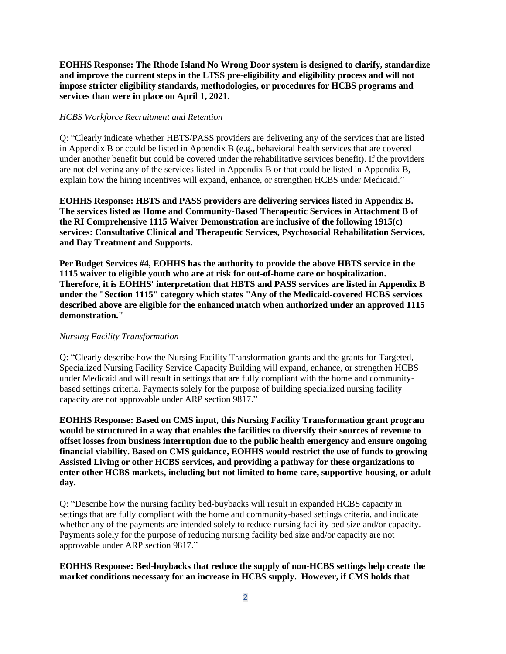**EOHHS Response: The Rhode Island No Wrong Door system is designed to clarify, standardize and improve the current steps in the LTSS pre-eligibility and eligibility process and will not impose stricter eligibility standards, methodologies, or procedures for HCBS programs and services than were in place on April 1, 2021.**

#### *HCBS Workforce Recruitment and Retention*

Q: "Clearly indicate whether HBTS/PASS providers are delivering any of the services that are listed in Appendix B or could be listed in Appendix B (e.g., behavioral health services that are covered under another benefit but could be covered under the rehabilitative services benefit). If the providers are not delivering any of the services listed in Appendix B or that could be listed in Appendix B, explain how the hiring incentives will expand, enhance, or strengthen HCBS under Medicaid."

**EOHHS Response: HBTS and PASS providers are delivering services listed in Appendix B. The services listed as Home and Community-Based Therapeutic Services in Attachment B of the RI Comprehensive 1115 Waiver Demonstration are inclusive of the following 1915(c) services: Consultative Clinical and Therapeutic Services, Psychosocial Rehabilitation Services, and Day Treatment and Supports.**

**Per Budget Services #4, EOHHS has the authority to provide the above HBTS service in the 1115 waiver to eligible youth who are at risk for out-of-home care or hospitalization. Therefore, it is EOHHS' interpretation that HBTS and PASS services are listed in Appendix B under the "Section 1115" category which states "Any of the Medicaid-covered HCBS services described above are eligible for the enhanced match when authorized under an approved 1115 demonstration."**

#### *Nursing Facility Transformation*

Q: "Clearly describe how the Nursing Facility Transformation grants and the grants for Targeted, Specialized Nursing Facility Service Capacity Building will expand, enhance, or strengthen HCBS under Medicaid and will result in settings that are fully compliant with the home and communitybased settings criteria. Payments solely for the purpose of building specialized nursing facility capacity are not approvable under ARP section 9817."

**EOHHS Response: Based on CMS input, this Nursing Facility Transformation grant program would be structured in a way that enables the facilities to diversify their sources of revenue to offset losses from business interruption due to the public health emergency and ensure ongoing financial viability. Based on CMS guidance, EOHHS would restrict the use of funds to growing Assisted Living or other HCBS services, and providing a pathway for these organizations to enter other HCBS markets, including but not limited to home care, supportive housing, or adult day.**

Q: "Describe how the nursing facility bed-buybacks will result in expanded HCBS capacity in settings that are fully compliant with the home and community-based settings criteria, and indicate whether any of the payments are intended solely to reduce nursing facility bed size and/or capacity. Payments solely for the purpose of reducing nursing facility bed size and/or capacity are not approvable under ARP section 9817."

## **EOHHS Response: Bed-buybacks that reduce the supply of non-HCBS settings help create the market conditions necessary for an increase in HCBS supply. However, if CMS holds that**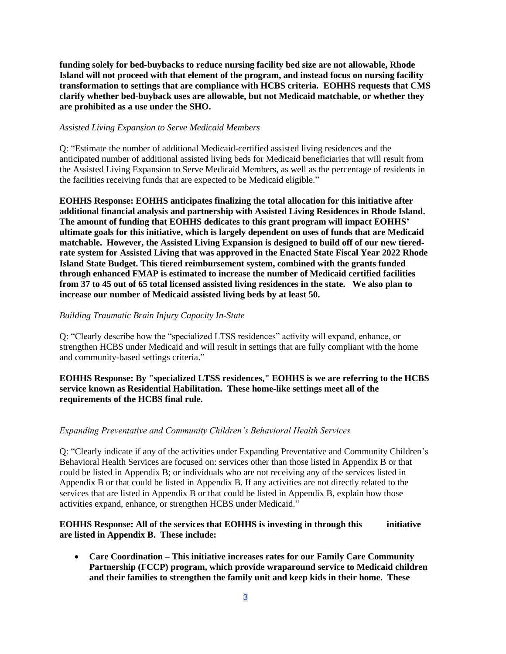**funding solely for bed-buybacks to reduce nursing facility bed size are not allowable, Rhode Island will not proceed with that element of the program, and instead focus on nursing facility transformation to settings that are compliance with HCBS criteria. EOHHS requests that CMS clarify whether bed-buyback uses are allowable, but not Medicaid matchable, or whether they are prohibited as a use under the SHO.**

#### *Assisted Living Expansion to Serve Medicaid Members*

Q: "Estimate the number of additional Medicaid-certified assisted living residences and the anticipated number of additional assisted living beds for Medicaid beneficiaries that will result from the Assisted Living Expansion to Serve Medicaid Members, as well as the percentage of residents in the facilities receiving funds that are expected to be Medicaid eligible."

**EOHHS Response: EOHHS anticipates finalizing the total allocation for this initiative after additional financial analysis and partnership with Assisted Living Residences in Rhode Island. The amount of funding that EOHHS dedicates to this grant program will impact EOHHS' ultimate goals for this initiative, which is largely dependent on uses of funds that are Medicaid matchable. However, the Assisted Living Expansion is designed to build off of our new tieredrate system for Assisted Living that was approved in the Enacted State Fiscal Year 2022 Rhode Island State Budget. This tiered reimbursement system, combined with the grants funded through enhanced FMAP is estimated to increase the number of Medicaid certified facilities from 37 to 45 out of 65 total licensed assisted living residences in the state. We also plan to increase our number of Medicaid assisted living beds by at least 50.**

#### *Building Traumatic Brain Injury Capacity In-State*

Q: "Clearly describe how the "specialized LTSS residences" activity will expand, enhance, or strengthen HCBS under Medicaid and will result in settings that are fully compliant with the home and community-based settings criteria."

## **EOHHS Response: By "specialized LTSS residences," EOHHS is we are referring to the HCBS service known as Residential Habilitation. These home-like settings meet all of the requirements of the HCBS final rule.**

#### *Expanding Preventative and Community Children's Behavioral Health Services*

Q: "Clearly indicate if any of the activities under Expanding Preventative and Community Children's Behavioral Health Services are focused on: services other than those listed in Appendix B or that could be listed in Appendix B; or individuals who are not receiving any of the services listed in Appendix B or that could be listed in Appendix B. If any activities are not directly related to the services that are listed in Appendix B or that could be listed in Appendix B, explain how those activities expand, enhance, or strengthen HCBS under Medicaid."

## **EOHHS Response: All of the services that EOHHS is investing in through this initiative are listed in Appendix B. These include:**

• **Care Coordination – This initiative increases rates for our Family Care Community Partnership (FCCP) program, which provide wraparound service to Medicaid children and their families to strengthen the family unit and keep kids in their home. These**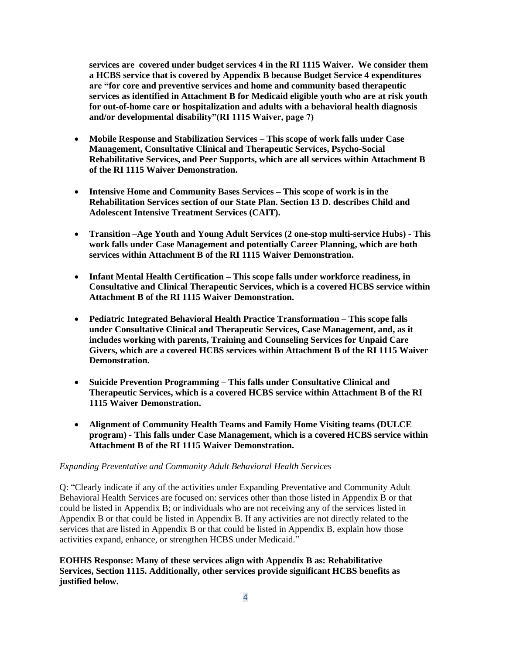**services are covered under budget services 4 in the RI 1115 Waiver. We consider them a HCBS service that is covered by Appendix B because Budget Service 4 expenditures are "for core and preventive services and home and community based therapeutic services as identified in Attachment B for Medicaid eligible youth who are at risk youth for out-of-home care or hospitalization and adults with a behavioral health diagnosis and/or developmental disability"(RI 1115 Waiver, page 7)**

- **Mobile Response and Stabilization Services – This scope of work falls under Case Management, Consultative Clinical and Therapeutic Services, Psycho-Social Rehabilitative Services, and Peer Supports, which are all services within Attachment B of the RI 1115 Waiver Demonstration.**
- **Intensive Home and Community Bases Services – This scope of work is in the Rehabilitation Services section of our State Plan. Section 13 D. describes Child and Adolescent Intensive Treatment Services (CAIT).**
- **Transition –Age Youth and Young Adult Services (2 one-stop multi-service Hubs) - This work falls under Case Management and potentially Career Planning, which are both services within Attachment B of the RI 1115 Waiver Demonstration.**
- **Infant Mental Health Certification – This scope falls under workforce readiness, in Consultative and Clinical Therapeutic Services, which is a covered HCBS service within Attachment B of the RI 1115 Waiver Demonstration.**
- **Pediatric Integrated Behavioral Health Practice Transformation – This scope falls under Consultative Clinical and Therapeutic Services, Case Management, and, as it includes working with parents, Training and Counseling Services for Unpaid Care Givers, which are a covered HCBS services within Attachment B of the RI 1115 Waiver Demonstration.**
- **Suicide Prevention Programming – This falls under Consultative Clinical and Therapeutic Services, which is a covered HCBS service within Attachment B of the RI 1115 Waiver Demonstration.**
- **Alignment of Community Health Teams and Family Home Visiting teams (DULCE program) - This falls under Case Management, which is a covered HCBS service within Attachment B of the RI 1115 Waiver Demonstration.**

#### *Expanding Preventative and Community Adult Behavioral Health Services*

Q: "Clearly indicate if any of the activities under Expanding Preventative and Community Adult Behavioral Health Services are focused on: services other than those listed in Appendix B or that could be listed in Appendix B; or individuals who are not receiving any of the services listed in Appendix B or that could be listed in Appendix B. If any activities are not directly related to the services that are listed in Appendix B or that could be listed in Appendix B, explain how those activities expand, enhance, or strengthen HCBS under Medicaid."

**EOHHS Response: Many of these services align with Appendix B as: Rehabilitative Services, Section 1115. Additionally, other services provide significant HCBS benefits as justified below.**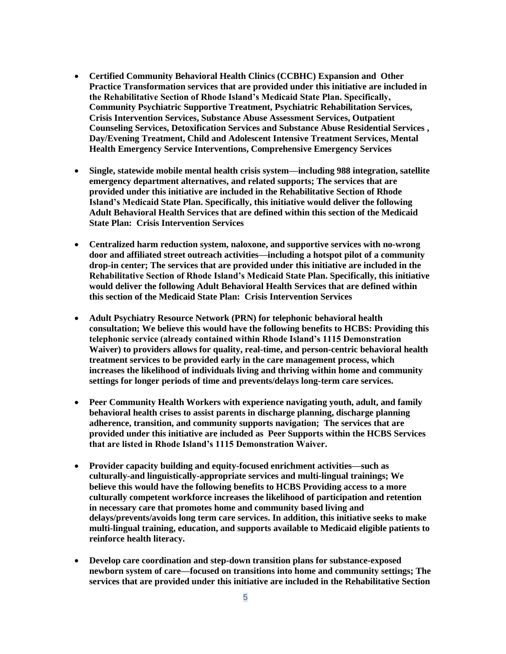- **Certified Community Behavioral Health Clinics (CCBHC) Expansion and Other Practice Transformation services that are provided under this initiative are included in the Rehabilitative Section of Rhode Island's Medicaid State Plan. Specifically, Community Psychiatric Supportive Treatment, Psychiatric Rehabilitation Services, Crisis Intervention Services, Substance Abuse Assessment Services, Outpatient Counseling Services, Detoxification Services and Substance Abuse Residential Services , Day/Evening Treatment, Child and Adolescent Intensive Treatment Services, Mental Health Emergency Service Interventions, Comprehensive Emergency Services**
- **Single, statewide mobile mental health crisis system—including 988 integration, satellite emergency department alternatives, and related supports; The services that are provided under this initiative are included in the Rehabilitative Section of Rhode Island's Medicaid State Plan. Specifically, this initiative would deliver the following Adult Behavioral Health Services that are defined within this section of the Medicaid State Plan: Crisis Intervention Services**
- **Centralized harm reduction system, naloxone, and supportive services with no-wrong door and affiliated street outreach activities—including a hotspot pilot of a community drop-in center; The services that are provided under this initiative are included in the Rehabilitative Section of Rhode Island's Medicaid State Plan. Specifically, this initiative would deliver the following Adult Behavioral Health Services that are defined within this section of the Medicaid State Plan: Crisis Intervention Services**
- **Adult Psychiatry Resource Network (PRN) for telephonic behavioral health consultation; We believe this would have the following benefits to HCBS: Providing this telephonic service (already contained within Rhode Island's 1115 Demonstration Waiver) to providers allows for quality, real-time, and person-centric behavioral health treatment services to be provided early in the care management process, which increases the likelihood of individuals living and thriving within home and community settings for longer periods of time and prevents/delays long-term care services.**
- **Peer Community Health Workers with experience navigating youth, adult, and family behavioral health crises to assist parents in discharge planning, discharge planning adherence, transition, and community supports navigation; The services that are provided under this initiative are included as Peer Supports within the HCBS Services that are listed in Rhode Island's 1115 Demonstration Waiver.**
- **Provider capacity building and equity-focused enrichment activities—such as culturally-and linguistically-appropriate services and multi-lingual trainings; We believe this would have the following benefits to HCBS Providing access to a more culturally competent workforce increases the likelihood of participation and retention in necessary care that promotes home and community based living and delays/prevents/avoids long term care services. In addition, this initiative seeks to make multi-lingual training, education, and supports available to Medicaid eligible patients to reinforce health literacy.**
- **Develop care coordination and step-down transition plans for substance-exposed newborn system of care—focused on transitions into home and community settings; The services that are provided under this initiative are included in the Rehabilitative Section**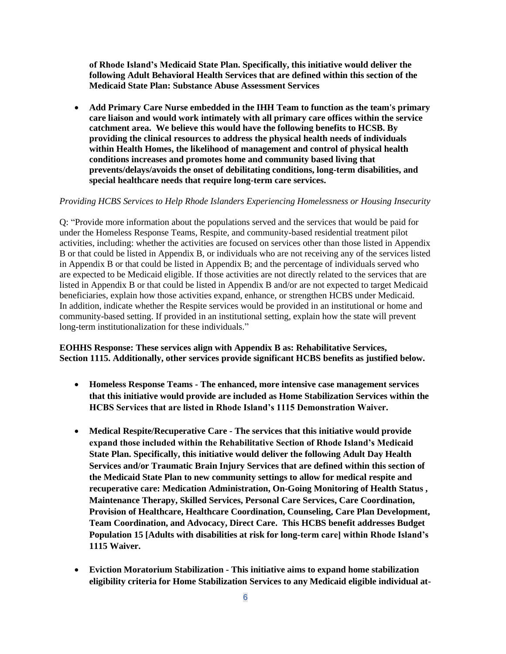**of Rhode Island's Medicaid State Plan. Specifically, this initiative would deliver the following Adult Behavioral Health Services that are defined within this section of the Medicaid State Plan: Substance Abuse Assessment Services** 

• **Add Primary Care Nurse embedded in the IHH Team to function as the team's primary care liaison and would work intimately with all primary care offices within the service catchment area. We believe this would have the following benefits to HCSB. By providing the clinical resources to address the physical health needs of individuals within Health Homes, the likelihood of management and control of physical health conditions increases and promotes home and community based living that prevents/delays/avoids the onset of debilitating conditions, long-term disabilities, and special healthcare needs that require long-term care services.**

#### *Providing HCBS Services to Help Rhode Islanders Experiencing Homelessness or Housing Insecurity*

Q: "Provide more information about the populations served and the services that would be paid for under the Homeless Response Teams, Respite, and community-based residential treatment pilot activities, including: whether the activities are focused on services other than those listed in Appendix B or that could be listed in Appendix B, or individuals who are not receiving any of the services listed in Appendix B or that could be listed in Appendix B; and the percentage of individuals served who are expected to be Medicaid eligible. If those activities are not directly related to the services that are listed in Appendix B or that could be listed in Appendix B and/or are not expected to target Medicaid beneficiaries, explain how those activities expand, enhance, or strengthen HCBS under Medicaid. In addition, indicate whether the Respite services would be provided in an institutional or home and community-based setting. If provided in an institutional setting, explain how the state will prevent long-term institutionalization for these individuals."

**EOHHS Response: These services align with Appendix B as: Rehabilitative Services, Section 1115. Additionally, other services provide significant HCBS benefits as justified below.**

- **Homeless Response Teams - The enhanced, more intensive case management services that this initiative would provide are included as Home Stabilization Services within the HCBS Services that are listed in Rhode Island's 1115 Demonstration Waiver.**
- **Medical Respite/Recuperative Care - The services that this initiative would provide expand those included within the Rehabilitative Section of Rhode Island's Medicaid State Plan. Specifically, this initiative would deliver the following Adult Day Health Services and/or Traumatic Brain Injury Services that are defined within this section of the Medicaid State Plan to new community settings to allow for medical respite and recuperative care: Medication Administration, On-Going Monitoring of Health Status , Maintenance Therapy, Skilled Services, Personal Care Services, Care Coordination, Provision of Healthcare, Healthcare Coordination, Counseling, Care Plan Development, Team Coordination, and Advocacy, Direct Care. This HCBS benefit addresses Budget Population 15 [Adults with disabilities at risk for long-term care] within Rhode Island's 1115 Waiver.**
- **Eviction Moratorium Stabilization - This initiative aims to expand home stabilization eligibility criteria for Home Stabilization Services to any Medicaid eligible individual at-**